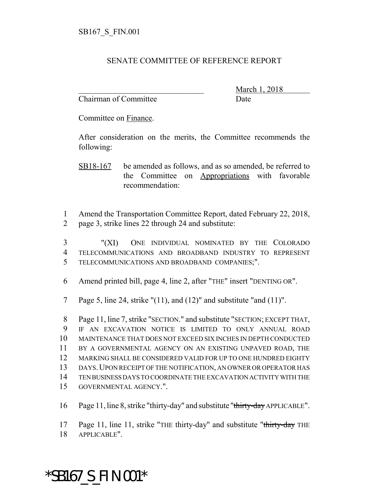## SENATE COMMITTEE OF REFERENCE REPORT

Chairman of Committee Date

\_\_\_\_\_\_\_\_\_\_\_\_\_\_\_\_\_\_\_\_\_\_\_\_\_\_\_\_\_\_\_ March 1, 2018

Committee on Finance.

After consideration on the merits, the Committee recommends the following:

SB18-167 be amended as follows, and as so amended, be referred to the Committee on Appropriations with favorable recommendation:

1 Amend the Transportation Committee Report, dated February 22, 2018, 2 page 3, strike lines 22 through 24 and substitute:

3 "(XI) ONE INDIVIDUAL NOMINATED BY THE COLORADO 4 TELECOMMUNICATIONS AND BROADBAND INDUSTRY TO REPRESENT 5 TELECOMMUNICATIONS AND BROADBAND COMPANIES;".

6 Amend printed bill, page 4, line 2, after "THE" insert "DENTING OR".

7 Page 5, line 24, strike " $(11)$ , and  $(12)$ " and substitute "and  $(11)$ ".

 Page 11, line 7, strike "SECTION." and substitute "SECTION; EXCEPT THAT, IF AN EXCAVATION NOTICE IS LIMITED TO ONLY ANNUAL ROAD MAINTENANCE THAT DOES NOT EXCEED SIX INCHES IN DEPTH CONDUCTED 11 BY A GOVERNMENTAL AGENCY ON AN EXISTING UNPAVED ROAD, THE MARKING SHALL BE CONSIDERED VALID FOR UP TO ONE HUNDRED EIGHTY DAYS.UPON RECEIPT OF THE NOTIFICATION, AN OWNER OR OPERATOR HAS TEN BUSINESS DAYS TO COORDINATE THE EXCAVATION ACTIVITY WITH THE GOVERNMENTAL AGENCY.".

16 Page 11, line 8, strike "thirty-day" and substitute "thirty-day APPLICABLE".

17 Page 11, line 11, strike "THE thirty-day" and substitute "thirty-day THE

18 APPLICABLE".

## \*SB167\_S\_FIN.001\*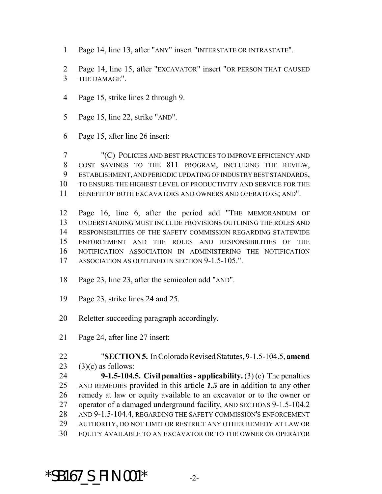- Page 14, line 13, after "ANY" insert "INTERSTATE OR INTRASTATE".
- Page 14, line 15, after "EXCAVATOR" insert "OR PERSON THAT CAUSED THE DAMAGE".
- Page 15, strike lines 2 through 9.
- Page 15, line 22, strike "AND".
- Page 15, after line 26 insert:

 "(C) POLICIES AND BEST PRACTICES TO IMPROVE EFFICIENCY AND COST SAVINGS TO THE 811 PROGRAM, INCLUDING THE REVIEW, ESTABLISHMENT, AND PERIODIC UPDATING OF INDUSTRY BEST STANDARDS, TO ENSURE THE HIGHEST LEVEL OF PRODUCTIVITY AND SERVICE FOR THE BENEFIT OF BOTH EXCAVATORS AND OWNERS AND OPERATORS; AND".

 Page 16, line 6, after the period add "THE MEMORANDUM OF UNDERSTANDING MUST INCLUDE PROVISIONS OUTLINING THE ROLES AND RESPONSIBILITIES OF THE SAFETY COMMISSION REGARDING STATEWIDE ENFORCEMENT AND THE ROLES AND RESPONSIBILITIES OF THE NOTIFICATION ASSOCIATION IN ADMINISTERING THE NOTIFICATION ASSOCIATION AS OUTLINED IN SECTION 9-1.5-105.".

- Page 23, line 23, after the semicolon add "AND".
- Page 23, strike lines 24 and 25.

Reletter succeeding paragraph accordingly.

Page 24, after line 27 insert:

- "**SECTION 5.** In Colorado Revised Statutes, 9-1.5-104.5, **amend**
- 

23  $(3)(c)$  as follows:

 **9-1.5-104.5. Civil penalties - applicability.** (3) (c) The penalties AND REMEDIES provided in this article *1.5* are in addition to any other remedy at law or equity available to an excavator or to the owner or operator of a damaged underground facility, AND SECTIONS 9-1.5-104.2 AND 9-1.5-104.4, REGARDING THE SAFETY COMMISSION'S ENFORCEMENT AUTHORITY, DO NOT LIMIT OR RESTRICT ANY OTHER REMEDY AT LAW OR

EQUITY AVAILABLE TO AN EXCAVATOR OR TO THE OWNER OR OPERATOR

## \*SB167\_S\_FIN.001\* -2-